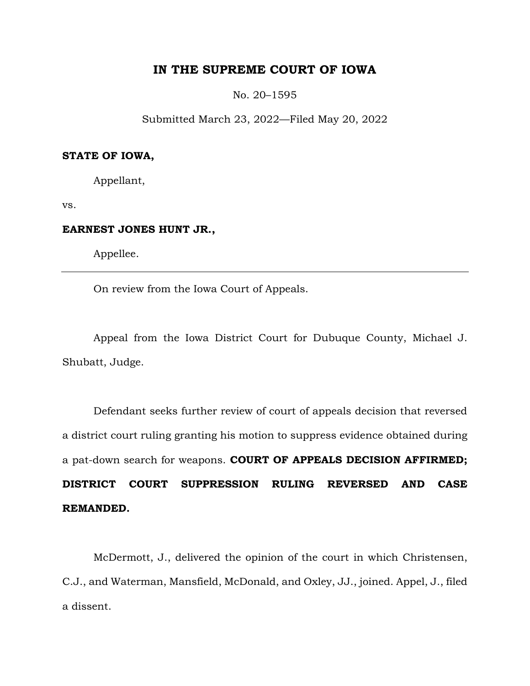## **IN THE SUPREME COURT OF IOWA**

No. 20–1595

Submitted March 23, 2022—Filed May 20, 2022

#### **STATE OF IOWA,**

Appellant,

vs.

## **EARNEST JONES HUNT JR.,**

Appellee.

On review from the Iowa Court of Appeals.

Appeal from the Iowa District Court for Dubuque County, Michael J. Shubatt, Judge.

Defendant seeks further review of court of appeals decision that reversed a district court ruling granting his motion to suppress evidence obtained during a pat-down search for weapons. **COURT OF APPEALS DECISION AFFIRMED; DISTRICT COURT SUPPRESSION RULING REVERSED AND CASE REMANDED.**

McDermott, J., delivered the opinion of the court in which Christensen, C.J., and Waterman, Mansfield, McDonald, and Oxley, JJ., joined. Appel, J., filed a dissent.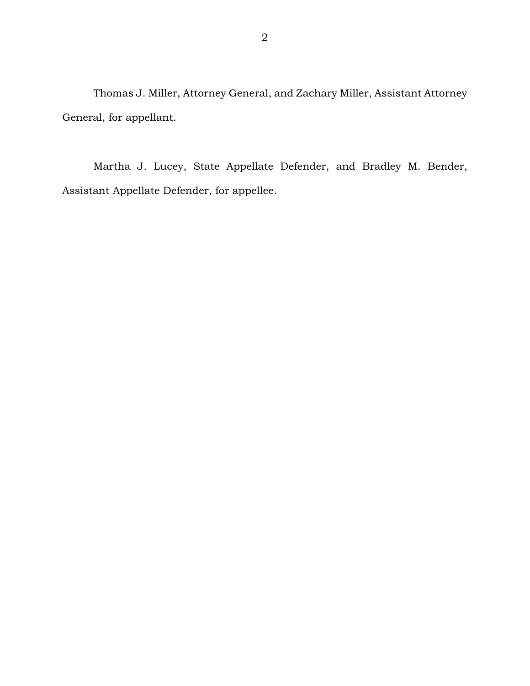Thomas J. Miller, Attorney General, and Zachary Miller, Assistant Attorney General, for appellant.

Martha J. Lucey, State Appellate Defender, and Bradley M. Bender, Assistant Appellate Defender, for appellee.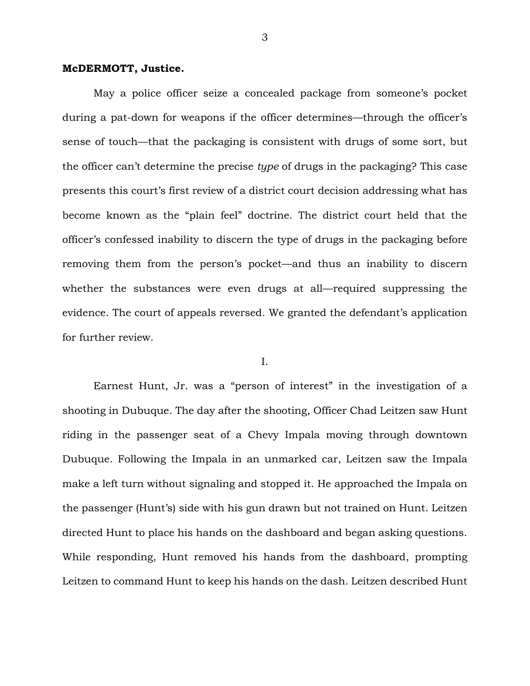#### **McDERMOTT, Justice.**

May a police officer seize a concealed package from someone's pocket during a pat-down for weapons if the officer determines—through the officer's sense of touch—that the packaging is consistent with drugs of some sort, but the officer can't determine the precise *type* of drugs in the packaging? This case presents this court's first review of a district court decision addressing what has become known as the "plain feel" doctrine. The district court held that the officer's confessed inability to discern the type of drugs in the packaging before removing them from the person's pocket—and thus an inability to discern whether the substances were even drugs at all—required suppressing the evidence. The court of appeals reversed. We granted the defendant's application for further review.

I.

Earnest Hunt, Jr. was a "person of interest" in the investigation of a shooting in Dubuque. The day after the shooting, Officer Chad Leitzen saw Hunt riding in the passenger seat of a Chevy Impala moving through downtown Dubuque. Following the Impala in an unmarked car, Leitzen saw the Impala make a left turn without signaling and stopped it. He approached the Impala on the passenger (Hunt's) side with his gun drawn but not trained on Hunt. Leitzen directed Hunt to place his hands on the dashboard and began asking questions. While responding, Hunt removed his hands from the dashboard, prompting Leitzen to command Hunt to keep his hands on the dash. Leitzen described Hunt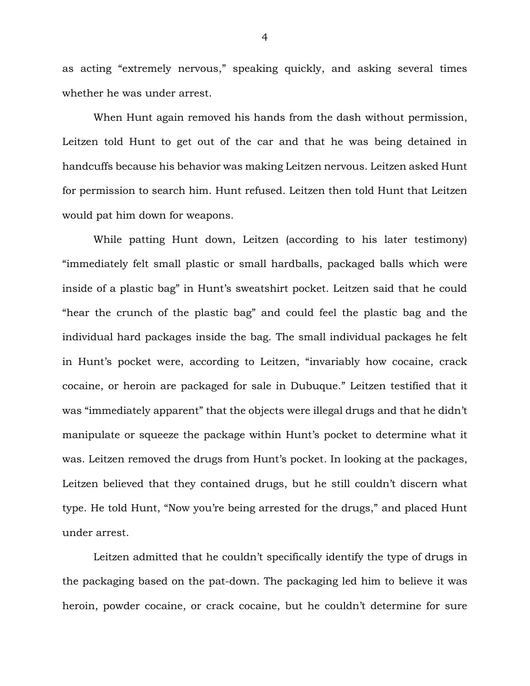as acting "extremely nervous," speaking quickly, and asking several times whether he was under arrest.

When Hunt again removed his hands from the dash without permission, Leitzen told Hunt to get out of the car and that he was being detained in handcuffs because his behavior was making Leitzen nervous. Leitzen asked Hunt for permission to search him. Hunt refused. Leitzen then told Hunt that Leitzen would pat him down for weapons.

While patting Hunt down, Leitzen (according to his later testimony) "immediately felt small plastic or small hardballs, packaged balls which were inside of a plastic bag" in Hunt's sweatshirt pocket. Leitzen said that he could "hear the crunch of the plastic bag" and could feel the plastic bag and the individual hard packages inside the bag. The small individual packages he felt in Hunt's pocket were, according to Leitzen, "invariably how cocaine, crack cocaine, or heroin are packaged for sale in Dubuque." Leitzen testified that it was "immediately apparent" that the objects were illegal drugs and that he didn't manipulate or squeeze the package within Hunt's pocket to determine what it was. Leitzen removed the drugs from Hunt's pocket. In looking at the packages, Leitzen believed that they contained drugs, but he still couldn't discern what type. He told Hunt, "Now you're being arrested for the drugs," and placed Hunt under arrest.

Leitzen admitted that he couldn't specifically identify the type of drugs in the packaging based on the pat-down. The packaging led him to believe it was heroin, powder cocaine, or crack cocaine, but he couldn't determine for sure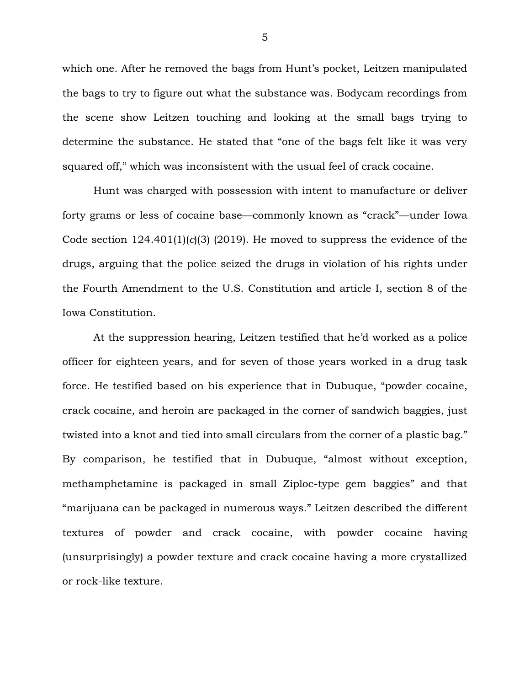which one. After he removed the bags from Hunt's pocket, Leitzen manipulated the bags to try to figure out what the substance was. Bodycam recordings from the scene show Leitzen touching and looking at the small bags trying to determine the substance. He stated that "one of the bags felt like it was very squared off," which was inconsistent with the usual feel of crack cocaine.

Hunt was charged with possession with intent to manufacture or deliver forty grams or less of cocaine base—commonly known as "crack"—under Iowa Code section 124.401(1)(*c*)(3) (2019). He moved to suppress the evidence of the drugs, arguing that the police seized the drugs in violation of his rights under the Fourth Amendment to the U.S. Constitution and article I, section 8 of the Iowa Constitution.

At the suppression hearing, Leitzen testified that he'd worked as a police officer for eighteen years, and for seven of those years worked in a drug task force. He testified based on his experience that in Dubuque, "powder cocaine, crack cocaine, and heroin are packaged in the corner of sandwich baggies, just twisted into a knot and tied into small circulars from the corner of a plastic bag." By comparison, he testified that in Dubuque, "almost without exception, methamphetamine is packaged in small Ziploc-type gem baggies" and that "marijuana can be packaged in numerous ways." Leitzen described the different textures of powder and crack cocaine, with powder cocaine having (unsurprisingly) a powder texture and crack cocaine having a more crystallized or rock-like texture.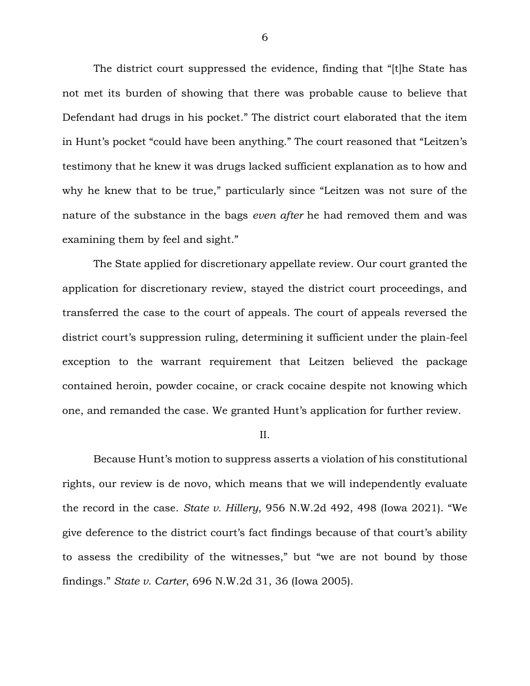The district court suppressed the evidence, finding that "[t]he State has not met its burden of showing that there was probable cause to believe that Defendant had drugs in his pocket." The district court elaborated that the item in Hunt's pocket "could have been anything." The court reasoned that "Leitzen's testimony that he knew it was drugs lacked sufficient explanation as to how and why he knew that to be true," particularly since "Leitzen was not sure of the nature of the substance in the bags *even after* he had removed them and was examining them by feel and sight."

The State applied for discretionary appellate review. Our court granted the application for discretionary review, stayed the district court proceedings, and transferred the case to the court of appeals. The court of appeals reversed the district court's suppression ruling, determining it sufficient under the plain-feel exception to the warrant requirement that Leitzen believed the package contained heroin, powder cocaine, or crack cocaine despite not knowing which one, and remanded the case. We granted Hunt's application for further review.

#### II.

Because Hunt's motion to suppress asserts a violation of his constitutional rights, our review is de novo, which means that we will independently evaluate the record in the case. *State v. Hillery*, 956 N.W.2d 492, 498 (Iowa 2021). "We give deference to the district court's fact findings because of that court's ability to assess the credibility of the witnesses," but "we are not bound by those findings." *State v. Carter*, 696 N.W.2d 31, 36 (Iowa 2005).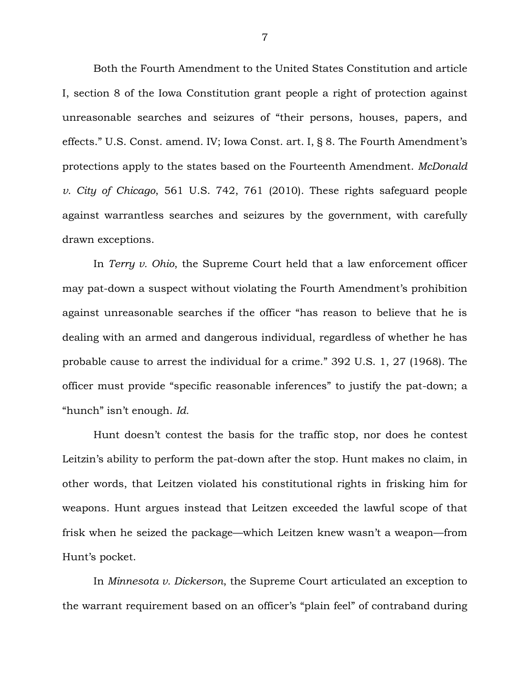Both the Fourth Amendment to the United States Constitution and article I, section 8 of the Iowa Constitution grant people a right of protection against unreasonable searches and seizures of "their persons, houses, papers, and effects." U.S. Const. amend. IV; Iowa Const. art. I, § 8. The Fourth Amendment's protections apply to the states based on the Fourteenth Amendment. *McDonald v. City of Chicago*, 561 U.S. 742, 761 (2010). These rights safeguard people against warrantless searches and seizures by the government, with carefully drawn exceptions.

In *Terry v. Ohio*, the Supreme Court held that a law enforcement officer may pat-down a suspect without violating the Fourth Amendment's prohibition against unreasonable searches if the officer "has reason to believe that he is dealing with an armed and dangerous individual, regardless of whether he has probable cause to arrest the individual for a crime." 392 U.S. 1, 27 (1968). The officer must provide "specific reasonable inferences" to justify the pat-down; a "hunch" isn't enough. *Id.*

Hunt doesn't contest the basis for the traffic stop, nor does he contest Leitzin's ability to perform the pat-down after the stop. Hunt makes no claim, in other words, that Leitzen violated his constitutional rights in frisking him for weapons. Hunt argues instead that Leitzen exceeded the lawful scope of that frisk when he seized the package—which Leitzen knew wasn't a weapon—from Hunt's pocket.

In *Minnesota v. Dickerson*, the Supreme Court articulated an exception to the warrant requirement based on an officer's "plain feel" of contraband during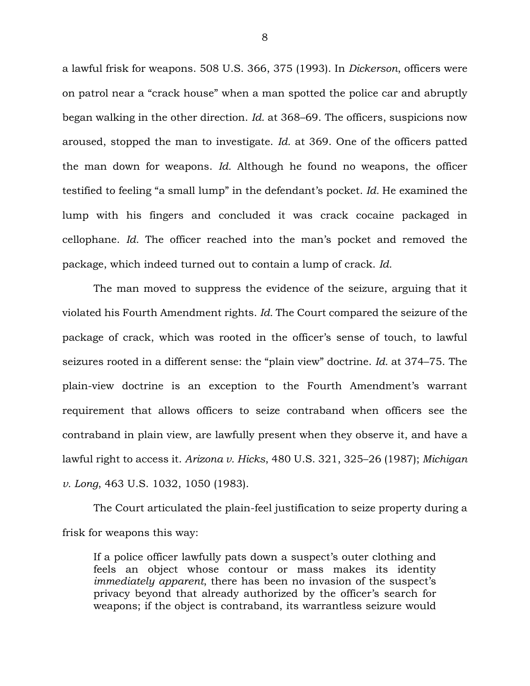a lawful frisk for weapons. 508 U.S. 366, 375 (1993). In *Dickerson*, officers were on patrol near a "crack house" when a man spotted the police car and abruptly began walking in the other direction. *Id.* at 368–69. The officers, suspicions now aroused, stopped the man to investigate. *Id.* at 369. One of the officers patted the man down for weapons. *Id.* Although he found no weapons, the officer testified to feeling "a small lump" in the defendant's pocket. *Id.* He examined the lump with his fingers and concluded it was crack cocaine packaged in cellophane. *Id.* The officer reached into the man's pocket and removed the package, which indeed turned out to contain a lump of crack. *Id.*

The man moved to suppress the evidence of the seizure, arguing that it violated his Fourth Amendment rights. *Id.* The Court compared the seizure of the package of crack, which was rooted in the officer's sense of touch, to lawful seizures rooted in a different sense: the "plain view" doctrine. *Id.* at 374–75. The plain-view doctrine is an exception to the Fourth Amendment's warrant requirement that allows officers to seize contraband when officers see the contraband in plain view, are lawfully present when they observe it, and have a lawful right to access it. *Arizona v. Hicks*, 480 U.S. 321, 325–26 (1987); *Michigan v. Long*, 463 U.S. 1032, 1050 (1983).

The Court articulated the plain-feel justification to seize property during a frisk for weapons this way:

If a police officer lawfully pats down a suspect's outer clothing and feels an object whose contour or mass makes its identity *immediately apparent*, there has been no invasion of the suspect's privacy beyond that already authorized by the officer's search for weapons; if the object is contraband, its warrantless seizure would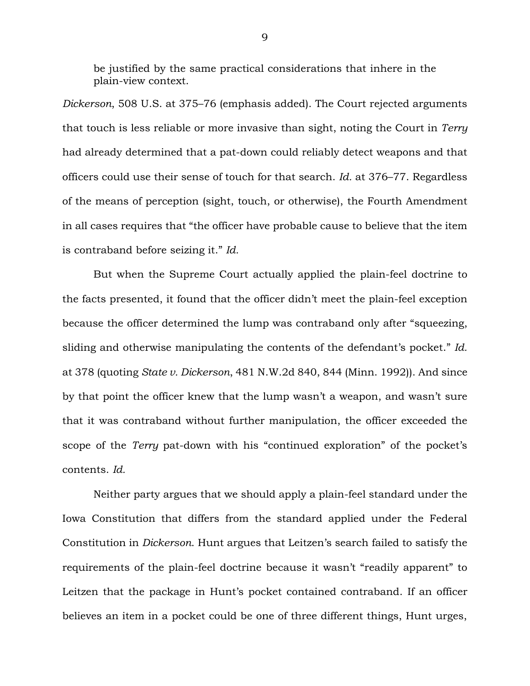be justified by the same practical considerations that inhere in the plain-view context.

*Dickerson*, 508 U.S. at 375–76 (emphasis added). The Court rejected arguments that touch is less reliable or more invasive than sight, noting the Court in *Terry* had already determined that a pat-down could reliably detect weapons and that officers could use their sense of touch for that search. *Id.* at 376–77. Regardless of the means of perception (sight, touch, or otherwise), the Fourth Amendment in all cases requires that "the officer have probable cause to believe that the item is contraband before seizing it." *Id.*

But when the Supreme Court actually applied the plain-feel doctrine to the facts presented, it found that the officer didn't meet the plain-feel exception because the officer determined the lump was contraband only after "squeezing, sliding and otherwise manipulating the contents of the defendant's pocket." *Id.* at 378 (quoting *State v. Dickerson*, 481 N.W.2d 840, 844 (Minn. 1992)). And since by that point the officer knew that the lump wasn't a weapon, and wasn't sure that it was contraband without further manipulation, the officer exceeded the scope of the *Terry* pat-down with his "continued exploration" of the pocket's contents. *Id.*

Neither party argues that we should apply a plain-feel standard under the Iowa Constitution that differs from the standard applied under the Federal Constitution in *Dickerson*. Hunt argues that Leitzen's search failed to satisfy the requirements of the plain-feel doctrine because it wasn't "readily apparent" to Leitzen that the package in Hunt's pocket contained contraband. If an officer believes an item in a pocket could be one of three different things, Hunt urges,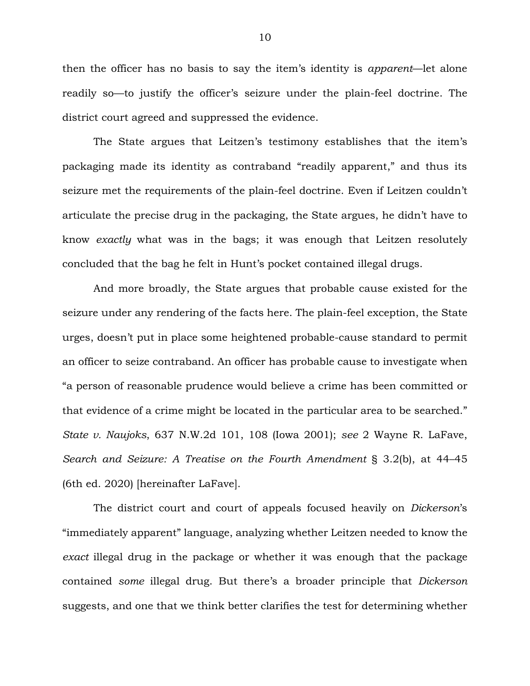then the officer has no basis to say the item's identity is *apparent*—let alone readily so—to justify the officer's seizure under the plain-feel doctrine. The district court agreed and suppressed the evidence.

The State argues that Leitzen's testimony establishes that the item's packaging made its identity as contraband "readily apparent," and thus its seizure met the requirements of the plain-feel doctrine. Even if Leitzen couldn't articulate the precise drug in the packaging, the State argues, he didn't have to know *exactly* what was in the bags; it was enough that Leitzen resolutely concluded that the bag he felt in Hunt's pocket contained illegal drugs.

And more broadly, the State argues that probable cause existed for the seizure under any rendering of the facts here. The plain-feel exception, the State urges, doesn't put in place some heightened probable-cause standard to permit an officer to seize contraband. An officer has probable cause to investigate when "a person of reasonable prudence would believe a crime has been committed or that evidence of a crime might be located in the particular area to be searched." *State v. Naujoks*, 637 N.W.2d 101, 108 (Iowa 2001); *see* 2 Wayne R. LaFave, *Search and Seizure: A Treatise on the Fourth Amendment* § 3.2(b), at 44–45 (6th ed. 2020) [hereinafter LaFave].

The district court and court of appeals focused heavily on *Dickerson*'s "immediately apparent" language, analyzing whether Leitzen needed to know the *exact* illegal drug in the package or whether it was enough that the package contained *some* illegal drug. But there's a broader principle that *Dickerson*  suggests, and one that we think better clarifies the test for determining whether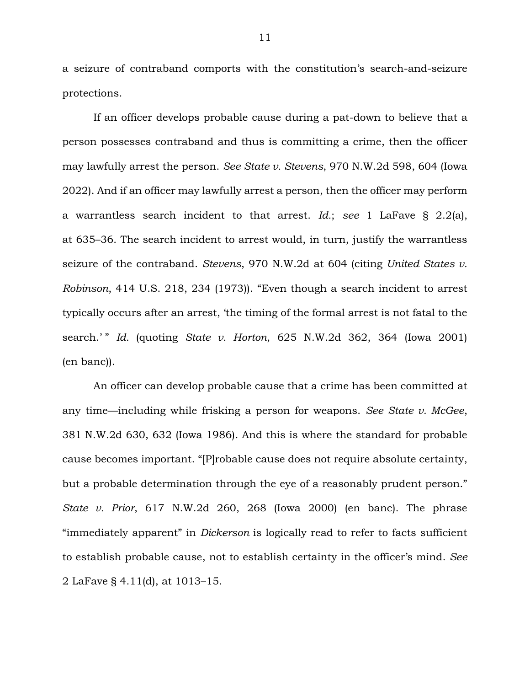a seizure of contraband comports with the constitution's search-and-seizure protections.

If an officer develops probable cause during a pat-down to believe that a person possesses contraband and thus is committing a crime, then the officer may lawfully arrest the person. *See State v. Stevens*, 970 N.W.2d 598, 604 (Iowa 2022). And if an officer may lawfully arrest a person, then the officer may perform a warrantless search incident to that arrest. *Id.*; *see* 1 LaFave § 2.2(a), at 635–36. The search incident to arrest would, in turn, justify the warrantless seizure of the contraband. *Stevens*, 970 N.W.2d at 604 (citing *United States v. Robinson*, 414 U.S. 218, 234 (1973)). "Even though a search incident to arrest typically occurs after an arrest, 'the timing of the formal arrest is not fatal to the search.'" *Id.* (quoting *State v. Horton*, 625 N.W.2d 362, 364 (Iowa 2001) (en banc)).

An officer can develop probable cause that a crime has been committed at any time—including while frisking a person for weapons. *See State v. McGee*, 381 N.W.2d 630, 632 (Iowa 1986). And this is where the standard for probable cause becomes important. "[P]robable cause does not require absolute certainty, but a probable determination through the eye of a reasonably prudent person." *State v. Prior*, 617 N.W.2d 260, 268 (Iowa 2000) (en banc). The phrase "immediately apparent" in *Dickerson* is logically read to refer to facts sufficient to establish probable cause, not to establish certainty in the officer's mind. *See*  2 LaFave § 4.11(d), at 1013–15.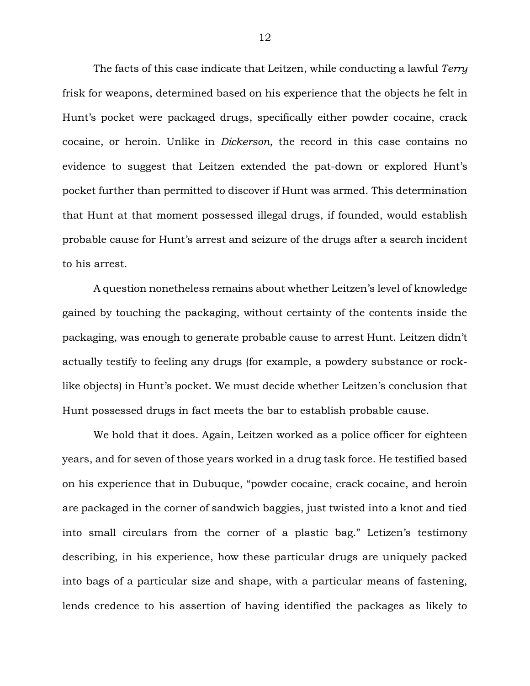The facts of this case indicate that Leitzen, while conducting a lawful *Terry*  frisk for weapons, determined based on his experience that the objects he felt in Hunt's pocket were packaged drugs, specifically either powder cocaine, crack cocaine, or heroin. Unlike in *Dickerson*, the record in this case contains no evidence to suggest that Leitzen extended the pat-down or explored Hunt's pocket further than permitted to discover if Hunt was armed. This determination that Hunt at that moment possessed illegal drugs, if founded, would establish probable cause for Hunt's arrest and seizure of the drugs after a search incident to his arrest.

A question nonetheless remains about whether Leitzen's level of knowledge gained by touching the packaging, without certainty of the contents inside the packaging, was enough to generate probable cause to arrest Hunt. Leitzen didn't actually testify to feeling any drugs (for example, a powdery substance or rocklike objects) in Hunt's pocket. We must decide whether Leitzen's conclusion that Hunt possessed drugs in fact meets the bar to establish probable cause.

We hold that it does. Again, Leitzen worked as a police officer for eighteen years, and for seven of those years worked in a drug task force. He testified based on his experience that in Dubuque, "powder cocaine, crack cocaine, and heroin are packaged in the corner of sandwich baggies, just twisted into a knot and tied into small circulars from the corner of a plastic bag." Letizen's testimony describing, in his experience, how these particular drugs are uniquely packed into bags of a particular size and shape, with a particular means of fastening, lends credence to his assertion of having identified the packages as likely to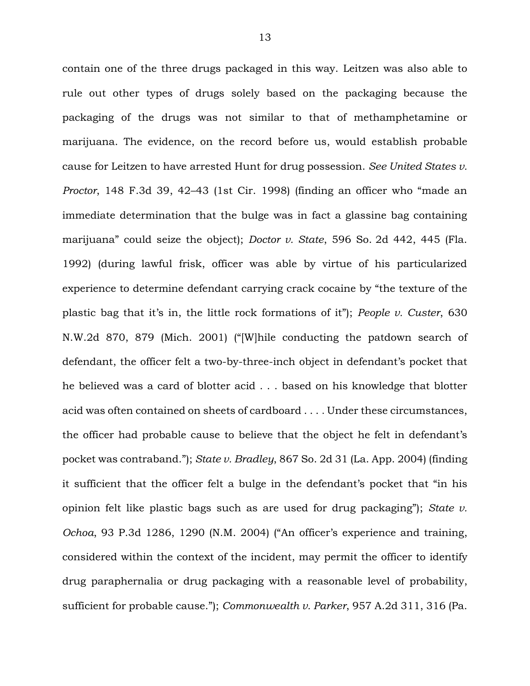contain one of the three drugs packaged in this way. Leitzen was also able to rule out other types of drugs solely based on the packaging because the packaging of the drugs was not similar to that of methamphetamine or marijuana. The evidence, on the record before us, would establish probable cause for Leitzen to have arrested Hunt for drug possession. *See United States v. Proctor*, 148 F.3d 39, 42–43 (1st Cir. 1998) (finding an officer who "made an immediate determination that the bulge was in fact a glassine bag containing marijuana" could seize the object); *Doctor v. State*, 596 So. 2d 442, 445 (Fla. 1992) (during lawful frisk, officer was able by virtue of his particularized experience to determine defendant carrying crack cocaine by "the texture of the plastic bag that it's in, the little rock formations of it"); *People v. Custer*, 630 N.W.2d 870, 879 (Mich. 2001) ("[W]hile conducting the patdown search of defendant, the officer felt a two-by-three-inch object in defendant's pocket that he believed was a card of blotter acid . . . based on his knowledge that blotter acid was often contained on sheets of cardboard . . . . Under these circumstances, the officer had probable cause to believe that the object he felt in defendant's pocket was contraband."); *State v. Bradley*, 867 So. 2d 31 (La. App. 2004) (finding it sufficient that the officer felt a bulge in the defendant's pocket that "in his opinion felt like plastic bags such as are used for drug packaging"); *State v. Ochoa*, 93 P.3d 1286, 1290 (N.M. 2004) ("An officer's experience and training, considered within the context of the incident, may permit the officer to identify drug paraphernalia or drug packaging with a reasonable level of probability, sufficient for probable cause."); *Commonwealth v. Parker*, 957 A.2d 311, 316 (Pa.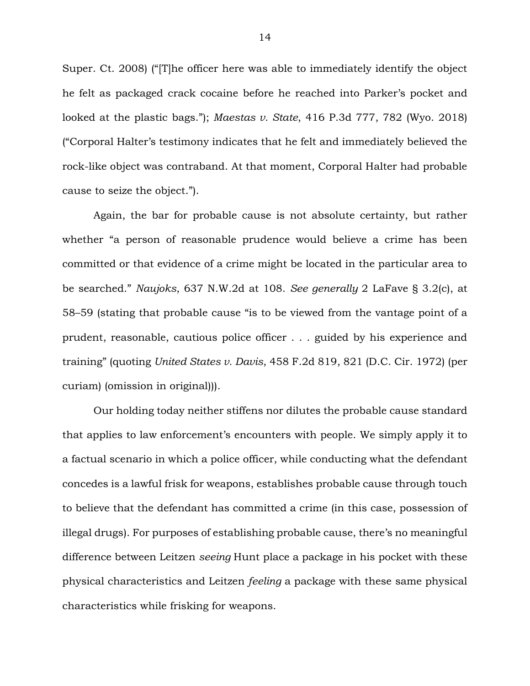Super. Ct. 2008) ("[T]he officer here was able to immediately identify the object he felt as packaged crack cocaine before he reached into Parker's pocket and looked at the plastic bags."); *Maestas v. State*, 416 P.3d 777, 782 (Wyo. 2018) ("Corporal Halter's testimony indicates that he felt and immediately believed the rock-like object was contraband. At that moment, Corporal Halter had probable cause to seize the object.").

Again, the bar for probable cause is not absolute certainty, but rather whether "a person of reasonable prudence would believe a crime has been committed or that evidence of a crime might be located in the particular area to be searched." *Naujoks*, 637 N.W.2d at 108. *See generally* 2 LaFave § 3.2(c), at 58–59 (stating that probable cause "is to be viewed from the vantage point of a prudent, reasonable, cautious police officer . . . guided by his experience and training" (quoting *United States v. Davis*, 458 F.2d 819, 821 (D.C. Cir. 1972) (per curiam) (omission in original))).

Our holding today neither stiffens nor dilutes the probable cause standard that applies to law enforcement's encounters with people. We simply apply it to a factual scenario in which a police officer, while conducting what the defendant concedes is a lawful frisk for weapons, establishes probable cause through touch to believe that the defendant has committed a crime (in this case, possession of illegal drugs). For purposes of establishing probable cause, there's no meaningful difference between Leitzen *seeing* Hunt place a package in his pocket with these physical characteristics and Leitzen *feeling* a package with these same physical characteristics while frisking for weapons.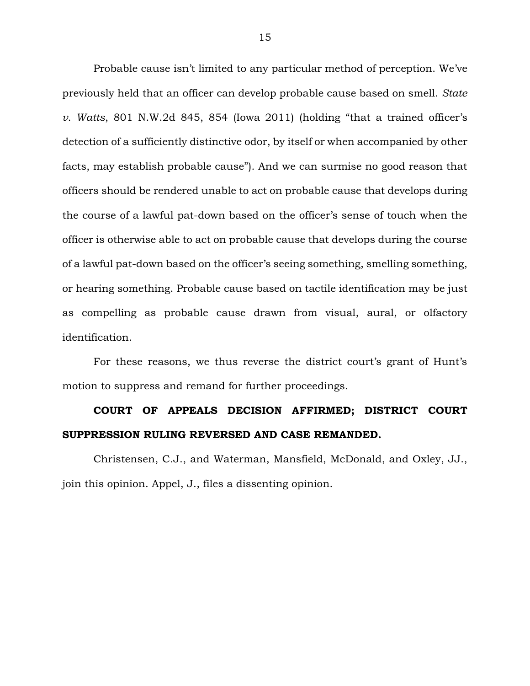Probable cause isn't limited to any particular method of perception. We've previously held that an officer can develop probable cause based on smell. *State v. Watts*, 801 N.W.2d 845, 854 (Iowa 2011) (holding "that a trained officer's detection of a sufficiently distinctive odor, by itself or when accompanied by other facts, may establish probable cause"). And we can surmise no good reason that officers should be rendered unable to act on probable cause that develops during the course of a lawful pat-down based on the officer's sense of touch when the officer is otherwise able to act on probable cause that develops during the course of a lawful pat-down based on the officer's seeing something, smelling something, or hearing something. Probable cause based on tactile identification may be just as compelling as probable cause drawn from visual, aural, or olfactory identification.

For these reasons, we thus reverse the district court's grant of Hunt's motion to suppress and remand for further proceedings.

# **COURT OF APPEALS DECISION AFFIRMED; DISTRICT COURT SUPPRESSION RULING REVERSED AND CASE REMANDED.**

Christensen, C.J., and Waterman, Mansfield, McDonald, and Oxley, JJ., join this opinion. Appel, J., files a dissenting opinion.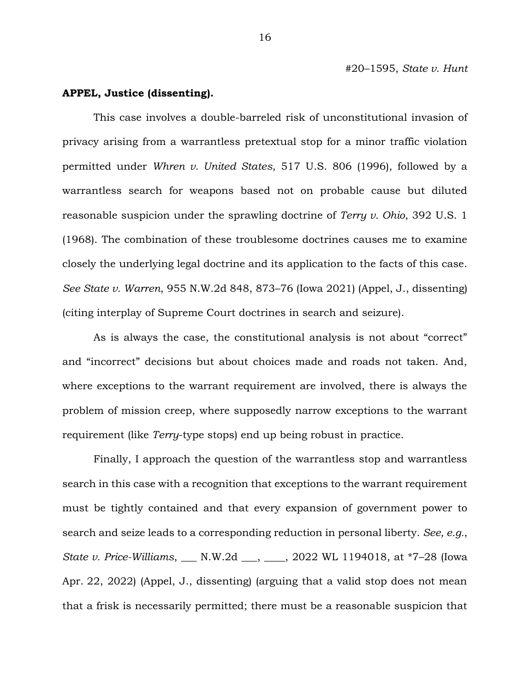#### **APPEL, Justice (dissenting).**

This case involves a double-barreled risk of unconstitutional invasion of privacy arising from a warrantless pretextual stop for a minor traffic violation permitted under *Whren v. United States*, 517 U.S. 806 (1996), followed by a warrantless search for weapons based not on probable cause but diluted reasonable suspicion under the sprawling doctrine of *Terry v. Ohio*, 392 U.S. 1 (1968). The combination of these troublesome doctrines causes me to examine closely the underlying legal doctrine and its application to the facts of this case. *See State v. Warren*, 955 N.W.2d 848, 873–76 (Iowa 2021) (Appel, J., dissenting) (citing interplay of Supreme Court doctrines in search and seizure).

As is always the case, the constitutional analysis is not about "correct" and "incorrect" decisions but about choices made and roads not taken. And, where exceptions to the warrant requirement are involved, there is always the problem of mission creep, where supposedly narrow exceptions to the warrant requirement (like *Terry*-type stops) end up being robust in practice.

Finally, I approach the question of the warrantless stop and warrantless search in this case with a recognition that exceptions to the warrant requirement must be tightly contained and that every expansion of government power to search and seize leads to a corresponding reduction in personal liberty. *See, e.g.*, *State v. Price-Williams*, \_\_\_ N.W.2d \_\_\_, \_\_\_\_, 2022 WL 1194018, at \*7–28 (Iowa Apr. 22, 2022) (Appel, J., dissenting) (arguing that a valid stop does not mean that a frisk is necessarily permitted; there must be a reasonable suspicion that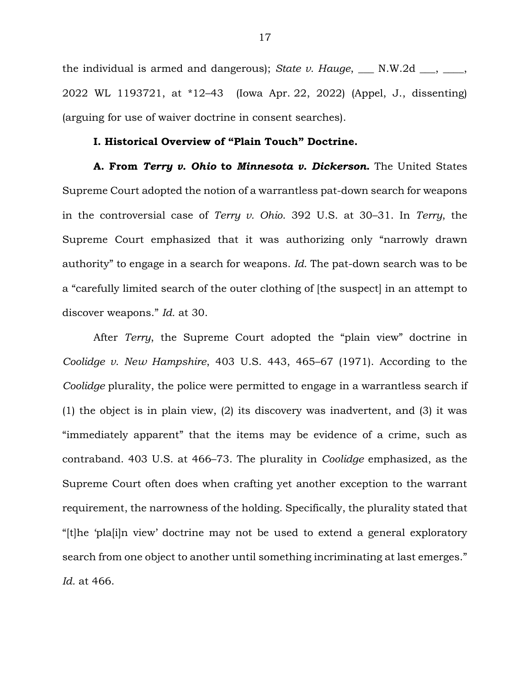the individual is armed and dangerous); *State v. Hauge*, \_\_\_ N.W.2d \_\_\_, \_\_\_\_, 2022 WL 1193721, at \*12–43 (Iowa Apr. 22, 2022) (Appel, J., dissenting) (arguing for use of waiver doctrine in consent searches).

#### **I. Historical Overview of "Plain Touch" Doctrine.**

**A. From** *Terry v. Ohio* **to** *Minnesota v. Dickerson***.** The United States Supreme Court adopted the notion of a warrantless pat-down search for weapons in the controversial case of *Terry v. Ohio*. 392 U.S. at 30–31. In *Terry*, the Supreme Court emphasized that it was authorizing only "narrowly drawn authority" to engage in a search for weapons. *Id.* The pat-down search was to be a "carefully limited search of the outer clothing of [the suspect] in an attempt to discover weapons." *Id.* at 30.

After *Terry*, the Supreme Court adopted the "plain view" doctrine in *Coolidge v. New Hampshire*, 403 U.S. 443, 465–67 (1971). According to the *Coolidge* plurality, the police were permitted to engage in a warrantless search if (1) the object is in plain view, (2) its discovery was inadvertent, and (3) it was "immediately apparent" that the items may be evidence of a crime, such as contraband. 403 U.S. at 466–73. The plurality in *Coolidge* emphasized, as the Supreme Court often does when crafting yet another exception to the warrant requirement, the narrowness of the holding. Specifically, the plurality stated that "[t]he 'pla[i]n view' doctrine may not be used to extend a general exploratory search from one object to another until something incriminating at last emerges." *Id.* at 466.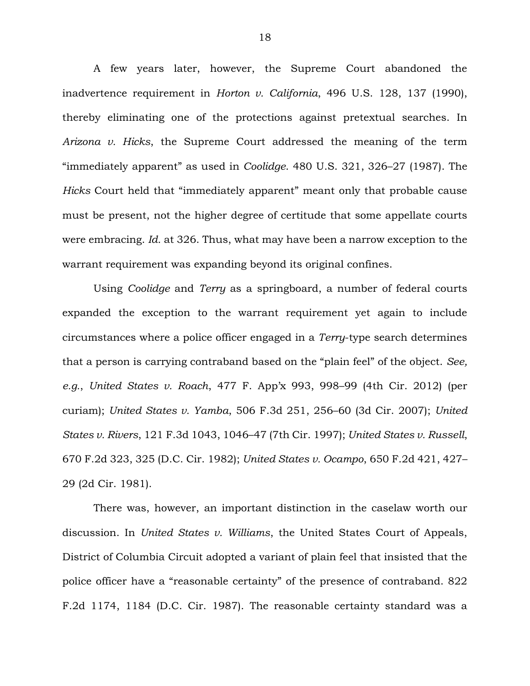A few years later, however, the Supreme Court abandoned the inadvertence requirement in *Horton v. California*, 496 U.S. 128, 137 (1990), thereby eliminating one of the protections against pretextual searches. In *Arizona v. Hicks*, the Supreme Court addressed the meaning of the term "immediately apparent" as used in *Coolidge*. 480 U.S. 321, 326–27 (1987). The *Hicks* Court held that "immediately apparent" meant only that probable cause must be present, not the higher degree of certitude that some appellate courts were embracing. *Id.* at 326. Thus, what may have been a narrow exception to the warrant requirement was expanding beyond its original confines.

Using *Coolidge* and *Terry* as a springboard, a number of federal courts expanded the exception to the warrant requirement yet again to include circumstances where a police officer engaged in a *Terry*-type search determines that a person is carrying contraband based on the "plain feel" of the object. *See, e.g.*, *United States v. Roach*, 477 F. App'x 993, 998–99 (4th Cir. 2012) (per curiam); *United States v. Yamba*, 506 F.3d 251, 256–60 (3d Cir. 2007); *United States v. Rivers*, 121 F.3d 1043, 1046–47 (7th Cir. 1997); *United States v. Russell*, 670 F.2d 323, 325 (D.C. Cir. 1982); *United States v. Ocampo*, 650 F.2d 421, 427– 29 (2d Cir. 1981).

There was, however, an important distinction in the caselaw worth our discussion. In *United States v. Williams*, the United States Court of Appeals, District of Columbia Circuit adopted a variant of plain feel that insisted that the police officer have a "reasonable certainty" of the presence of contraband. 822 F.2d 1174, 1184 (D.C. Cir. 1987). The reasonable certainty standard was a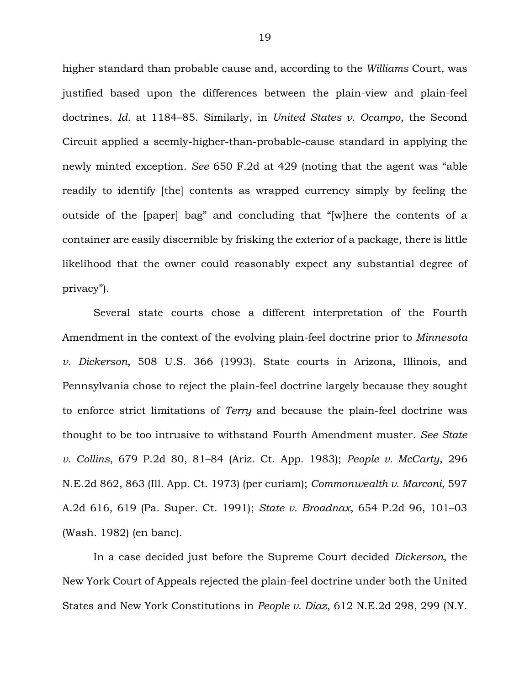higher standard than probable cause and, according to the *Williams* Court, was justified based upon the differences between the plain-view and plain-feel doctrines. *Id.* at 1184–85. Similarly, in *United States v. Ocampo*, the Second Circuit applied a seemly-higher-than-probable-cause standard in applying the newly minted exception. *See* 650 F.2d at 429 (noting that the agent was "able readily to identify [the] contents as wrapped currency simply by feeling the outside of the [paper] bag" and concluding that "[w]here the contents of a container are easily discernible by frisking the exterior of a package, there is little likelihood that the owner could reasonably expect any substantial degree of privacy").

Several state courts chose a different interpretation of the Fourth Amendment in the context of the evolving plain-feel doctrine prior to *Minnesota v. Dickerson*, 508 U.S. 366 (1993). State courts in Arizona, Illinois, and Pennsylvania chose to reject the plain-feel doctrine largely because they sought to enforce strict limitations of *Terry* and because the plain-feel doctrine was thought to be too intrusive to withstand Fourth Amendment muster. *See State v. Collins*, 679 P.2d 80, 81–84 (Ariz. Ct. App. 1983); *People v. McCarty*, 296 N.E.2d 862, 863 (Ill. App. Ct. 1973) (per curiam); *Commonwealth v. Marconi*, 597 A.2d 616, 619 (Pa. Super. Ct. 1991); *State v. Broadnax*, 654 P.2d 96, 101–03 (Wash. 1982) (en banc).

In a case decided just before the Supreme Court decided *Dickerson*, the New York Court of Appeals rejected the plain-feel doctrine under both the United States and New York Constitutions in *People v. Diaz*, 612 N.E.2d 298, 299 (N.Y.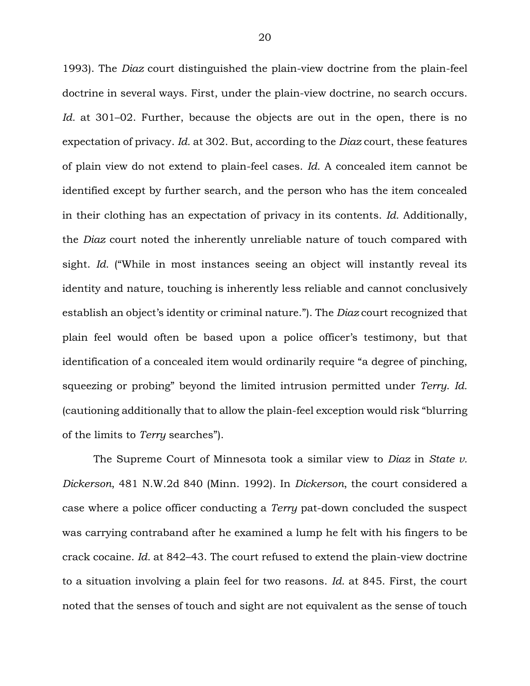1993). The *Diaz* court distinguished the plain-view doctrine from the plain-feel doctrine in several ways. First, under the plain-view doctrine, no search occurs. *Id.* at 301–02. Further, because the objects are out in the open, there is no expectation of privacy. *Id.* at 302. But, according to the *Diaz* court, these features of plain view do not extend to plain-feel cases. *Id.* A concealed item cannot be identified except by further search, and the person who has the item concealed in their clothing has an expectation of privacy in its contents. *Id.* Additionally, the *Diaz* court noted the inherently unreliable nature of touch compared with sight. *Id.* ("While in most instances seeing an object will instantly reveal its identity and nature, touching is inherently less reliable and cannot conclusively establish an object's identity or criminal nature."). The *Diaz* court recognized that plain feel would often be based upon a police officer's testimony, but that identification of a concealed item would ordinarily require "a degree of pinching, squeezing or probing" beyond the limited intrusion permitted under *Terry*. *Id.* (cautioning additionally that to allow the plain-feel exception would risk "blurring of the limits to *Terry* searches").

The Supreme Court of Minnesota took a similar view to *Diaz* in *State v. Dickerson*, 481 N.W.2d 840 (Minn. 1992). In *Dickerson*, the court considered a case where a police officer conducting a *Terry* pat-down concluded the suspect was carrying contraband after he examined a lump he felt with his fingers to be crack cocaine. *Id.* at 842–43. The court refused to extend the plain-view doctrine to a situation involving a plain feel for two reasons. *Id.* at 845. First, the court noted that the senses of touch and sight are not equivalent as the sense of touch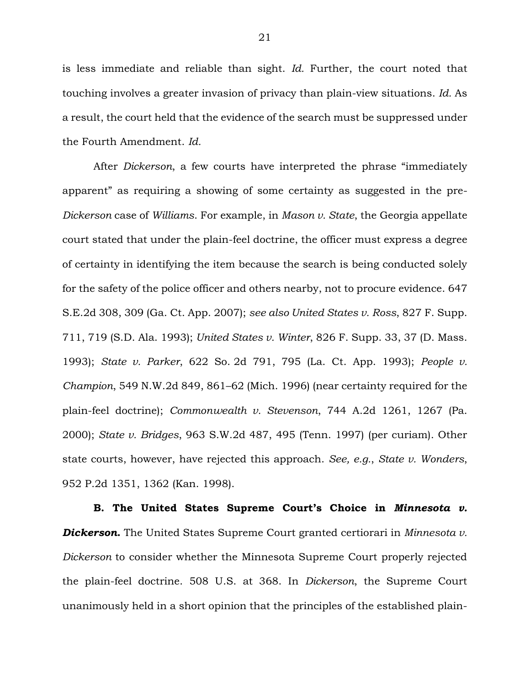is less immediate and reliable than sight. *Id.* Further, the court noted that touching involves a greater invasion of privacy than plain-view situations. *Id.* As a result, the court held that the evidence of the search must be suppressed under the Fourth Amendment. *Id.*

After *Dickerson*, a few courts have interpreted the phrase "immediately apparent" as requiring a showing of some certainty as suggested in the pre-*Dickerson* case of *Williams*. For example, in *Mason v. State*, the Georgia appellate court stated that under the plain-feel doctrine, the officer must express a degree of certainty in identifying the item because the search is being conducted solely for the safety of the police officer and others nearby, not to procure evidence. 647 S.E.2d 308, 309 (Ga. Ct. App. 2007); *see also United States v. Ross*, 827 F. Supp. 711, 719 (S.D. Ala. 1993); *United States v. Winter*, 826 F. Supp. 33, 37 (D. Mass. 1993); *State v. Parker*, 622 So. 2d 791, 795 (La. Ct. App. 1993); *People v. Champion*, 549 N.W.2d 849, 861–62 (Mich. 1996) (near certainty required for the plain-feel doctrine); *Commonwealth v. Stevenson*, 744 A.2d 1261, 1267 (Pa. 2000); *State v. Bridges*, 963 S.W.2d 487, 495 (Tenn. 1997) (per curiam). Other state courts, however, have rejected this approach. *See, e.g.*, *State v. Wonders*, 952 P.2d 1351, 1362 (Kan. 1998).

**B. The United States Supreme Court's Choice in** *Minnesota v. Dickerson***.** The United States Supreme Court granted certiorari in *Minnesota v. Dickerson* to consider whether the Minnesota Supreme Court properly rejected the plain-feel doctrine. 508 U.S. at 368. In *Dickerson*, the Supreme Court unanimously held in a short opinion that the principles of the established plain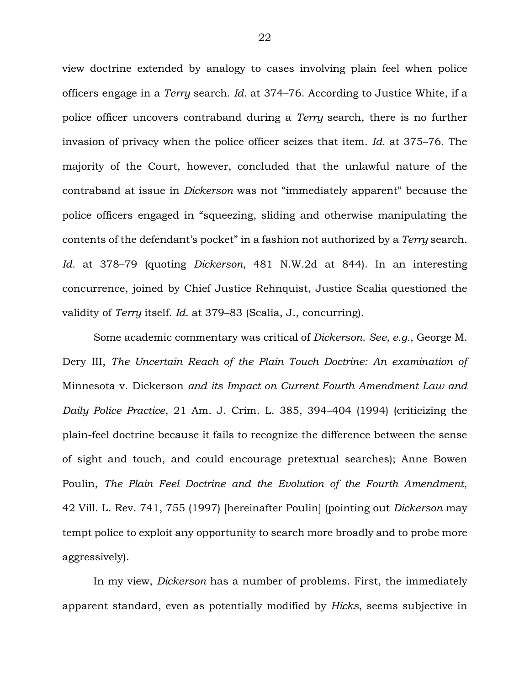view doctrine extended by analogy to cases involving plain feel when police officers engage in a *Terry* search. *Id.* at 374–76. According to Justice White, if a police officer uncovers contraband during a *Terry* search, there is no further invasion of privacy when the police officer seizes that item. *Id.* at 375–76. The majority of the Court, however, concluded that the unlawful nature of the contraband at issue in *Dickerson* was not "immediately apparent" because the police officers engaged in "squeezing, sliding and otherwise manipulating the contents of the defendant's pocket" in a fashion not authorized by a *Terry* search. *Id.* at 378–79 (quoting *Dickerson*, 481 N.W.2d at 844). In an interesting concurrence, joined by Chief Justice Rehnquist, Justice Scalia questioned the validity of *Terry* itself. *Id.* at 379–83 (Scalia, J., concurring).

Some academic commentary was critical of *Dickerson*. *See, e.g.*, George M. Dery III, *The Uncertain Reach of the Plain Touch Doctrine: An examination of*  Minnesota v. Dickerson *and its Impact on Current Fourth Amendment Law and Daily Police Practice*, 21 Am. J. Crim. L. 385, 394–404 (1994) (criticizing the plain-feel doctrine because it fails to recognize the difference between the sense of sight and touch, and could encourage pretextual searches); Anne Bowen Poulin, *The Plain Feel Doctrine and the Evolution of the Fourth Amendment*, 42 Vill. L. Rev. 741, 755 (1997) [hereinafter Poulin] (pointing out *Dickerson* may tempt police to exploit any opportunity to search more broadly and to probe more aggressively).

In my view, *Dickerson* has a number of problems. First, the immediately apparent standard, even as potentially modified by *Hicks*, seems subjective in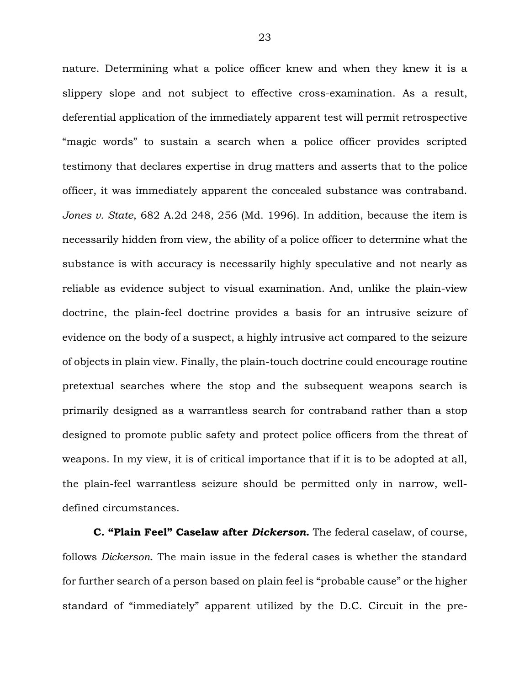nature. Determining what a police officer knew and when they knew it is a slippery slope and not subject to effective cross-examination. As a result, deferential application of the immediately apparent test will permit retrospective "magic words" to sustain a search when a police officer provides scripted testimony that declares expertise in drug matters and asserts that to the police officer, it was immediately apparent the concealed substance was contraband. *Jones v. State*, 682 A.2d 248, 256 (Md. 1996). In addition, because the item is necessarily hidden from view, the ability of a police officer to determine what the substance is with accuracy is necessarily highly speculative and not nearly as reliable as evidence subject to visual examination. And, unlike the plain-view doctrine, the plain-feel doctrine provides a basis for an intrusive seizure of evidence on the body of a suspect, a highly intrusive act compared to the seizure of objects in plain view. Finally, the plain-touch doctrine could encourage routine pretextual searches where the stop and the subsequent weapons search is primarily designed as a warrantless search for contraband rather than a stop designed to promote public safety and protect police officers from the threat of weapons. In my view, it is of critical importance that if it is to be adopted at all, the plain-feel warrantless seizure should be permitted only in narrow, welldefined circumstances.

**C. "Plain Feel" Caselaw after** *Dickerson***.** The federal caselaw, of course, follows *Dickerson*. The main issue in the federal cases is whether the standard for further search of a person based on plain feel is "probable cause" or the higher standard of "immediately" apparent utilized by the D.C. Circuit in the pre-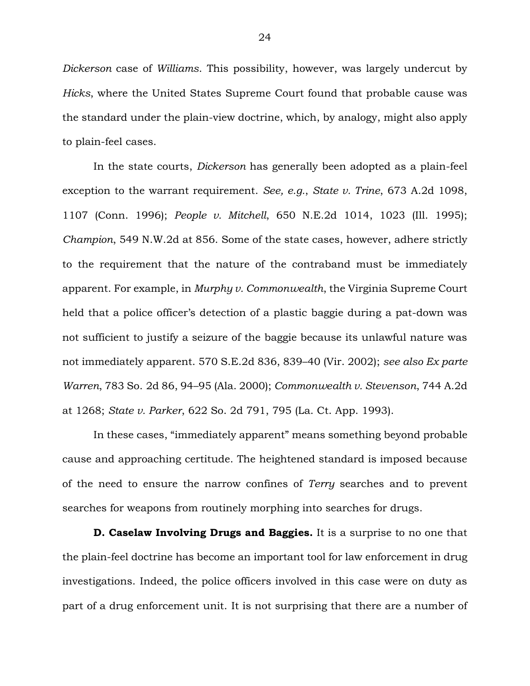*Dickerson* case of *Williams*. This possibility, however, was largely undercut by *Hicks*, where the United States Supreme Court found that probable cause was the standard under the plain-view doctrine, which, by analogy, might also apply to plain-feel cases.

In the state courts, *Dickerson* has generally been adopted as a plain-feel exception to the warrant requirement. *See, e.g.*, *State v. Trine*, 673 A.2d 1098, 1107 (Conn. 1996); *People v. Mitchell*, 650 N.E.2d 1014, 1023 (Ill. 1995); *Champion*, 549 N.W.2d at 856. Some of the state cases, however, adhere strictly to the requirement that the nature of the contraband must be immediately apparent. For example, in *Murphy v. Commonwealth*, the Virginia Supreme Court held that a police officer's detection of a plastic baggie during a pat-down was not sufficient to justify a seizure of the baggie because its unlawful nature was not immediately apparent. 570 S.E.2d 836, 839–40 (Vir. 2002); *see also Ex parte Warren*, 783 So. 2d 86, 94–95 (Ala. 2000); *Commonwealth v. Stevenson*, 744 A.2d at 1268; *State v. Parker*, 622 So. 2d 791, 795 (La. Ct. App. 1993).

In these cases, "immediately apparent" means something beyond probable cause and approaching certitude. The heightened standard is imposed because of the need to ensure the narrow confines of *Terry* searches and to prevent searches for weapons from routinely morphing into searches for drugs.

**D. Caselaw Involving Drugs and Baggies.** It is a surprise to no one that the plain-feel doctrine has become an important tool for law enforcement in drug investigations. Indeed, the police officers involved in this case were on duty as part of a drug enforcement unit. It is not surprising that there are a number of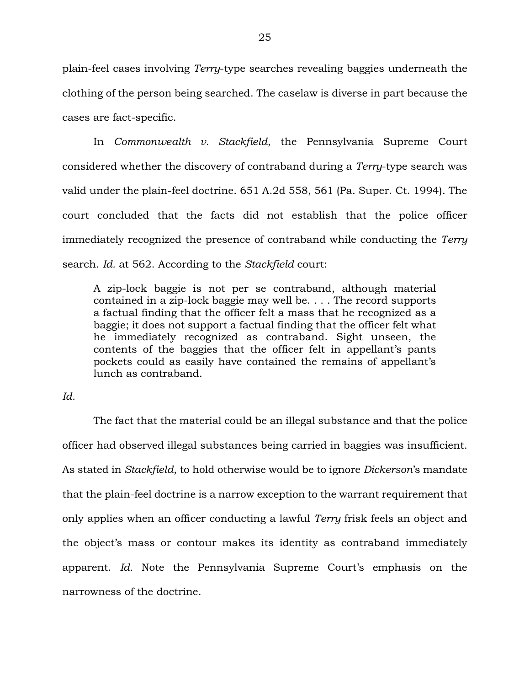plain-feel cases involving *Terry*-type searches revealing baggies underneath the clothing of the person being searched. The caselaw is diverse in part because the cases are fact-specific.

In *Commonwealth v. Stackfield*, the Pennsylvania Supreme Court considered whether the discovery of contraband during a *Terry*-type search was valid under the plain-feel doctrine. 651 A.2d 558, 561 (Pa. Super. Ct. 1994). The court concluded that the facts did not establish that the police officer immediately recognized the presence of contraband while conducting the *Terry* search. *Id.* at 562. According to the *Stackfield* court:

A zip-lock baggie is not per se contraband, although material contained in a zip-lock baggie may well be. . . . The record supports a factual finding that the officer felt a mass that he recognized as a baggie; it does not support a factual finding that the officer felt what he immediately recognized as contraband. Sight unseen, the contents of the baggies that the officer felt in appellant's pants pockets could as easily have contained the remains of appellant's lunch as contraband.

#### *Id.*

The fact that the material could be an illegal substance and that the police officer had observed illegal substances being carried in baggies was insufficient. As stated in *Stackfield*, to hold otherwise would be to ignore *Dickerson*'s mandate that the plain-feel doctrine is a narrow exception to the warrant requirement that only applies when an officer conducting a lawful *Terry* frisk feels an object and the object's mass or contour makes its identity as contraband immediately apparent. *Id.* Note the Pennsylvania Supreme Court's emphasis on the narrowness of the doctrine.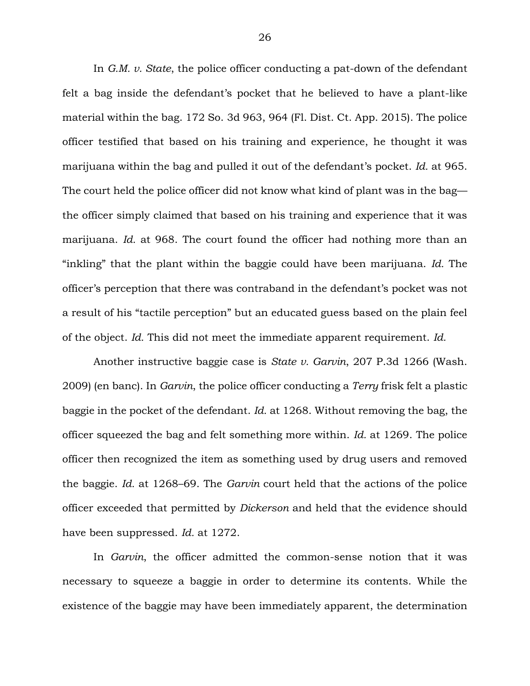In *G.M. v. State*, the police officer conducting a pat-down of the defendant felt a bag inside the defendant's pocket that he believed to have a plant-like material within the bag. 172 So. 3d 963, 964 (Fl. Dist. Ct. App. 2015). The police officer testified that based on his training and experience, he thought it was marijuana within the bag and pulled it out of the defendant's pocket. *Id.* at 965. The court held the police officer did not know what kind of plant was in the bag the officer simply claimed that based on his training and experience that it was marijuana. *Id.* at 968. The court found the officer had nothing more than an "inkling" that the plant within the baggie could have been marijuana. *Id.* The officer's perception that there was contraband in the defendant's pocket was not a result of his "tactile perception" but an educated guess based on the plain feel of the object. *Id.* This did not meet the immediate apparent requirement. *Id.*

Another instructive baggie case is *State v. Garvin*, 207 P.3d 1266 (Wash. 2009) (en banc). In *Garvin*, the police officer conducting a *Terry* frisk felt a plastic baggie in the pocket of the defendant. *Id.* at 1268. Without removing the bag, the officer squeezed the bag and felt something more within. *Id.* at 1269. The police officer then recognized the item as something used by drug users and removed the baggie. *Id.* at 1268–69. The *Garvin* court held that the actions of the police officer exceeded that permitted by *Dickerson* and held that the evidence should have been suppressed. *Id.* at 1272.

In *Garvin*, the officer admitted the common-sense notion that it was necessary to squeeze a baggie in order to determine its contents. While the existence of the baggie may have been immediately apparent, the determination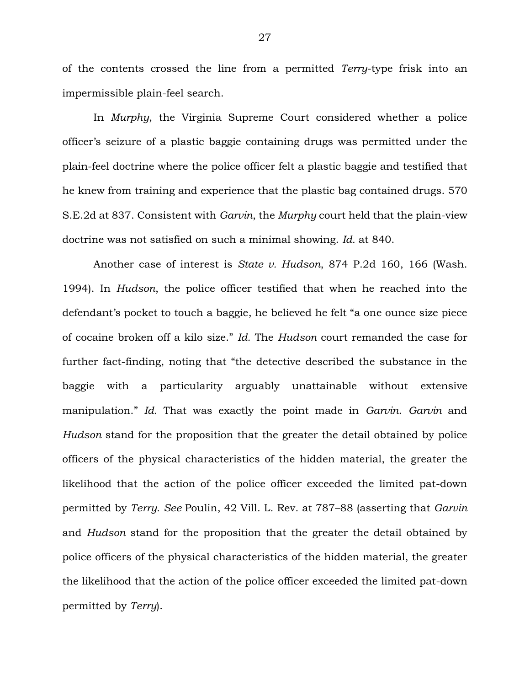of the contents crossed the line from a permitted *Terry*-type frisk into an impermissible plain-feel search.

In *Murphy*, the Virginia Supreme Court considered whether a police officer's seizure of a plastic baggie containing drugs was permitted under the plain-feel doctrine where the police officer felt a plastic baggie and testified that he knew from training and experience that the plastic bag contained drugs. 570 S.E.2d at 837. Consistent with *Garvin*, the *Murphy* court held that the plain-view doctrine was not satisfied on such a minimal showing. *Id.* at 840.

Another case of interest is *State v. Hudson*, 874 P.2d 160, 166 (Wash. 1994). In *Hudson*, the police officer testified that when he reached into the defendant's pocket to touch a baggie, he believed he felt "a one ounce size piece of cocaine broken off a kilo size." *Id.* The *Hudson* court remanded the case for further fact-finding, noting that "the detective described the substance in the baggie with a particularity arguably unattainable without extensive manipulation." *Id.* That was exactly the point made in *Garvin*. *Garvin* and *Hudson* stand for the proposition that the greater the detail obtained by police officers of the physical characteristics of the hidden material, the greater the likelihood that the action of the police officer exceeded the limited pat-down permitted by *Terry*. *See* Poulin, 42 Vill. L. Rev. at 787–88 (asserting that *Garvin* and *Hudson* stand for the proposition that the greater the detail obtained by police officers of the physical characteristics of the hidden material, the greater the likelihood that the action of the police officer exceeded the limited pat-down permitted by *Terry*).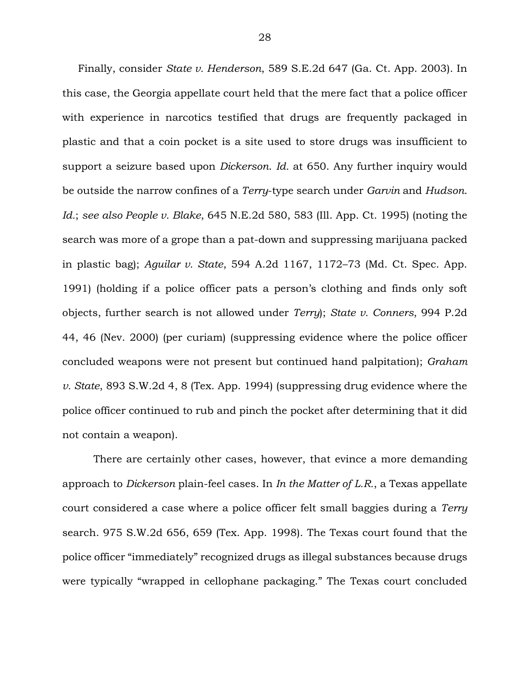Finally, consider *State v. Henderson*, 589 S.E.2d 647 (Ga. Ct. App. 2003). In this case, the Georgia appellate court held that the mere fact that a police officer with experience in narcotics testified that drugs are frequently packaged in plastic and that a coin pocket is a site used to store drugs was insufficient to support a seizure based upon *Dickerson*. *Id.* at 650. Any further inquiry would be outside the narrow confines of a *Terry*-type search under *Garvin* and *Hudson*. *Id.*; *see also People v. Blake*, 645 N.E.2d 580, 583 (Ill. App. Ct. 1995) (noting the search was more of a grope than a pat-down and suppressing marijuana packed in plastic bag); *Aguilar v. State*, 594 A.2d 1167, 1172–73 (Md. Ct. Spec. App. 1991) (holding if a police officer pats a person's clothing and finds only soft objects, further search is not allowed under *Terry*); *State v. Conners*, 994 P.2d 44, 46 (Nev. 2000) (per curiam) (suppressing evidence where the police officer concluded weapons were not present but continued hand palpitation); *Graham v. State*, 893 S.W.2d 4, 8 (Tex. App. 1994) (suppressing drug evidence where the police officer continued to rub and pinch the pocket after determining that it did not contain a weapon).

There are certainly other cases, however, that evince a more demanding approach to *Dickerson* plain-feel cases. In *In the Matter of L.R.*, a Texas appellate court considered a case where a police officer felt small baggies during a *Terry* search. 975 S.W.2d 656, 659 (Tex. App. 1998). The Texas court found that the police officer "immediately" recognized drugs as illegal substances because drugs were typically "wrapped in cellophane packaging." The Texas court concluded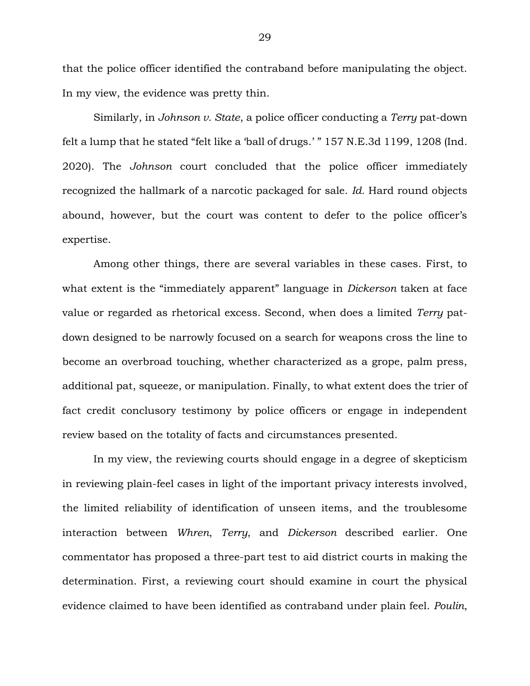that the police officer identified the contraband before manipulating the object. In my view, the evidence was pretty thin.

Similarly, in *Johnson v. State*, a police officer conducting a *Terry* pat-down felt a lump that he stated "felt like a 'ball of drugs.' " 157 N.E.3d 1199, 1208 (Ind. 2020). The *Johnson* court concluded that the police officer immediately recognized the hallmark of a narcotic packaged for sale. *Id.* Hard round objects abound, however, but the court was content to defer to the police officer's expertise.

Among other things, there are several variables in these cases. First, to what extent is the "immediately apparent" language in *Dickerson* taken at face value or regarded as rhetorical excess. Second, when does a limited *Terry* patdown designed to be narrowly focused on a search for weapons cross the line to become an overbroad touching, whether characterized as a grope, palm press, additional pat, squeeze, or manipulation. Finally, to what extent does the trier of fact credit conclusory testimony by police officers or engage in independent review based on the totality of facts and circumstances presented.

In my view, the reviewing courts should engage in a degree of skepticism in reviewing plain-feel cases in light of the important privacy interests involved, the limited reliability of identification of unseen items, and the troublesome interaction between *Whren*, *Terry*, and *Dickerson* described earlier. One commentator has proposed a three-part test to aid district courts in making the determination. First, a reviewing court should examine in court the physical evidence claimed to have been identified as contraband under plain feel. *Poulin*,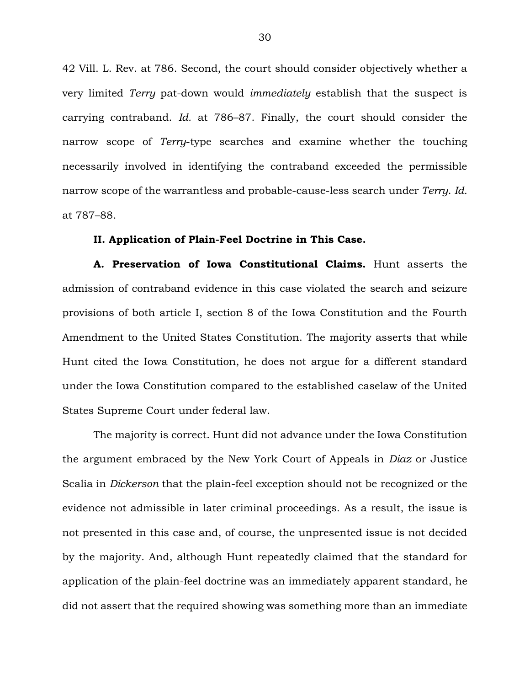42 Vill. L. Rev. at 786. Second, the court should consider objectively whether a very limited *Terry* pat-down would *immediately* establish that the suspect is carrying contraband. *Id.* at 786–87. Finally, the court should consider the narrow scope of *Terry*-type searches and examine whether the touching necessarily involved in identifying the contraband exceeded the permissible narrow scope of the warrantless and probable-cause-less search under *Terry*. *Id.* at 787–88.

## **II. Application of Plain-Feel Doctrine in This Case.**

**A. Preservation of Iowa Constitutional Claims.** Hunt asserts the admission of contraband evidence in this case violated the search and seizure provisions of both article I, section 8 of the Iowa Constitution and the Fourth Amendment to the United States Constitution. The majority asserts that while Hunt cited the Iowa Constitution, he does not argue for a different standard under the Iowa Constitution compared to the established caselaw of the United States Supreme Court under federal law.

The majority is correct. Hunt did not advance under the Iowa Constitution the argument embraced by the New York Court of Appeals in *Diaz* or Justice Scalia in *Dickerson* that the plain-feel exception should not be recognized or the evidence not admissible in later criminal proceedings. As a result, the issue is not presented in this case and, of course, the unpresented issue is not decided by the majority. And, although Hunt repeatedly claimed that the standard for application of the plain-feel doctrine was an immediately apparent standard, he did not assert that the required showing was something more than an immediate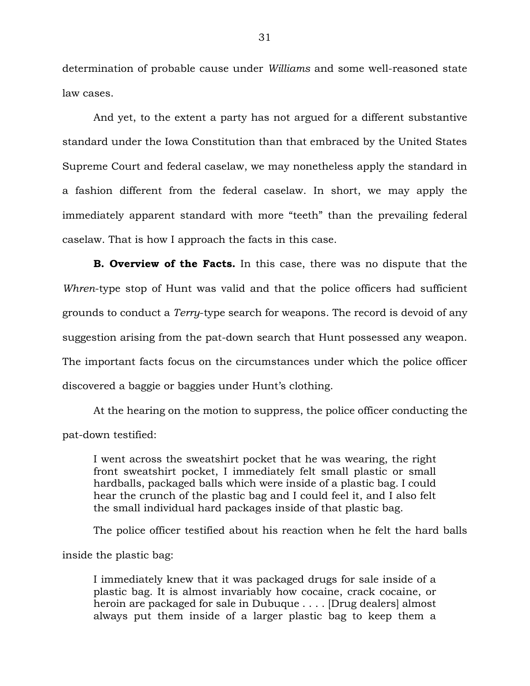determination of probable cause under *Williams* and some well-reasoned state law cases.

And yet, to the extent a party has not argued for a different substantive standard under the Iowa Constitution than that embraced by the United States Supreme Court and federal caselaw, we may nonetheless apply the standard in a fashion different from the federal caselaw. In short, we may apply the immediately apparent standard with more "teeth" than the prevailing federal caselaw. That is how I approach the facts in this case.

**B. Overview of the Facts.** In this case, there was no dispute that the *Whren*-type stop of Hunt was valid and that the police officers had sufficient grounds to conduct a *Terry*-type search for weapons. The record is devoid of any suggestion arising from the pat-down search that Hunt possessed any weapon. The important facts focus on the circumstances under which the police officer discovered a baggie or baggies under Hunt's clothing.

At the hearing on the motion to suppress, the police officer conducting the pat-down testified:

I went across the sweatshirt pocket that he was wearing, the right front sweatshirt pocket, I immediately felt small plastic or small hardballs, packaged balls which were inside of a plastic bag. I could hear the crunch of the plastic bag and I could feel it, and I also felt the small individual hard packages inside of that plastic bag.

The police officer testified about his reaction when he felt the hard balls

inside the plastic bag:

I immediately knew that it was packaged drugs for sale inside of a plastic bag. It is almost invariably how cocaine, crack cocaine, or heroin are packaged for sale in Dubuque . . . . [Drug dealers] almost always put them inside of a larger plastic bag to keep them a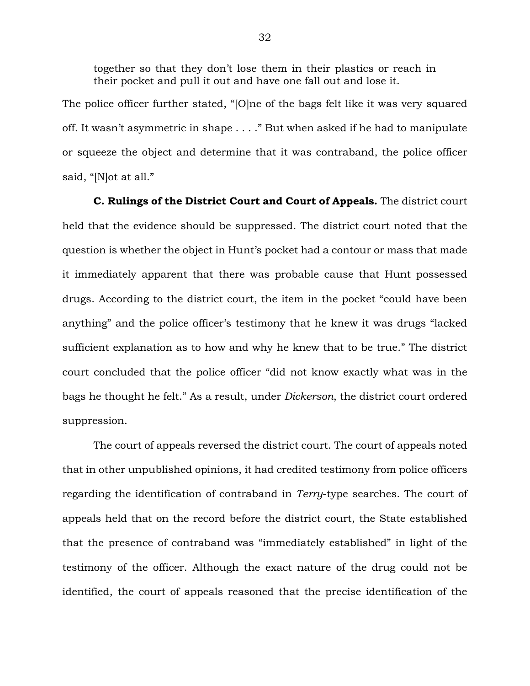together so that they don't lose them in their plastics or reach in their pocket and pull it out and have one fall out and lose it.

The police officer further stated, "[O]ne of the bags felt like it was very squared off. It wasn't asymmetric in shape . . . ." But when asked if he had to manipulate or squeeze the object and determine that it was contraband, the police officer said, "[N]ot at all."

**C. Rulings of the District Court and Court of Appeals.** The district court held that the evidence should be suppressed. The district court noted that the question is whether the object in Hunt's pocket had a contour or mass that made it immediately apparent that there was probable cause that Hunt possessed drugs. According to the district court, the item in the pocket "could have been anything" and the police officer's testimony that he knew it was drugs "lacked sufficient explanation as to how and why he knew that to be true." The district court concluded that the police officer "did not know exactly what was in the bags he thought he felt." As a result, under *Dickerson*, the district court ordered suppression.

The court of appeals reversed the district court. The court of appeals noted that in other unpublished opinions, it had credited testimony from police officers regarding the identification of contraband in *Terry*-type searches. The court of appeals held that on the record before the district court, the State established that the presence of contraband was "immediately established" in light of the testimony of the officer. Although the exact nature of the drug could not be identified, the court of appeals reasoned that the precise identification of the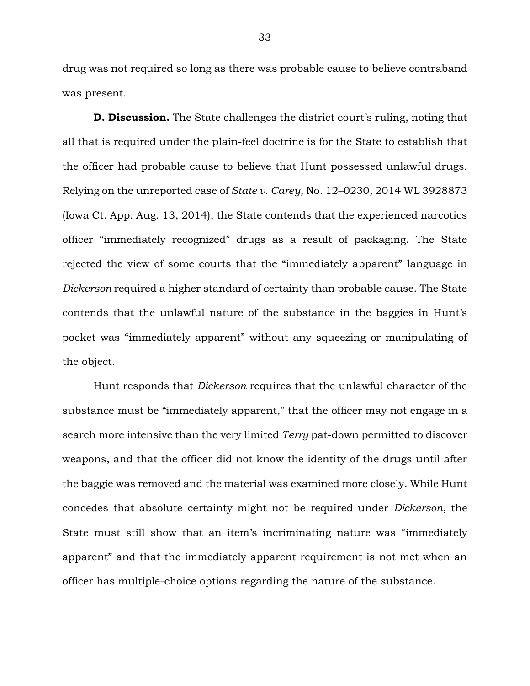drug was not required so long as there was probable cause to believe contraband was present.

**D. Discussion.** The State challenges the district court's ruling, noting that all that is required under the plain-feel doctrine is for the State to establish that the officer had probable cause to believe that Hunt possessed unlawful drugs. Relying on the unreported case of *State v. Carey*, No. 12–0230, 2014 WL 3928873 (Iowa Ct. App. Aug. 13, 2014), the State contends that the experienced narcotics officer "immediately recognized" drugs as a result of packaging. The State rejected the view of some courts that the "immediately apparent" language in *Dickerson* required a higher standard of certainty than probable cause. The State contends that the unlawful nature of the substance in the baggies in Hunt's pocket was "immediately apparent" without any squeezing or manipulating of the object.

Hunt responds that *Dickerson* requires that the unlawful character of the substance must be "immediately apparent," that the officer may not engage in a search more intensive than the very limited *Terry* pat-down permitted to discover weapons, and that the officer did not know the identity of the drugs until after the baggie was removed and the material was examined more closely. While Hunt concedes that absolute certainty might not be required under *Dickerson*, the State must still show that an item's incriminating nature was "immediately apparent" and that the immediately apparent requirement is not met when an officer has multiple-choice options regarding the nature of the substance.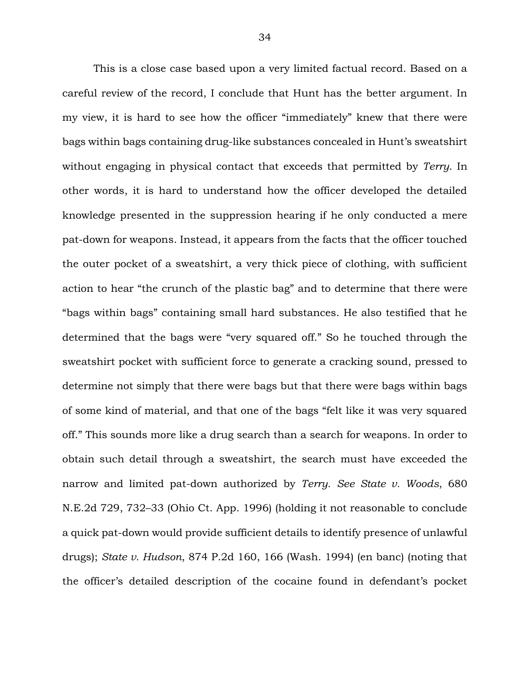This is a close case based upon a very limited factual record. Based on a careful review of the record, I conclude that Hunt has the better argument. In my view, it is hard to see how the officer "immediately" knew that there were bags within bags containing drug-like substances concealed in Hunt's sweatshirt without engaging in physical contact that exceeds that permitted by *Terry*. In other words, it is hard to understand how the officer developed the detailed knowledge presented in the suppression hearing if he only conducted a mere pat-down for weapons. Instead, it appears from the facts that the officer touched the outer pocket of a sweatshirt, a very thick piece of clothing, with sufficient action to hear "the crunch of the plastic bag" and to determine that there were "bags within bags" containing small hard substances. He also testified that he determined that the bags were "very squared off." So he touched through the sweatshirt pocket with sufficient force to generate a cracking sound, pressed to determine not simply that there were bags but that there were bags within bags of some kind of material, and that one of the bags "felt like it was very squared off." This sounds more like a drug search than a search for weapons. In order to obtain such detail through a sweatshirt, the search must have exceeded the narrow and limited pat-down authorized by *Terry*. *See State v. Woods*, 680 N.E.2d 729, 732–33 (Ohio Ct. App. 1996) (holding it not reasonable to conclude a quick pat-down would provide sufficient details to identify presence of unlawful drugs); *State v. Hudson*, 874 P.2d 160, 166 (Wash. 1994) (en banc) (noting that the officer's detailed description of the cocaine found in defendant's pocket